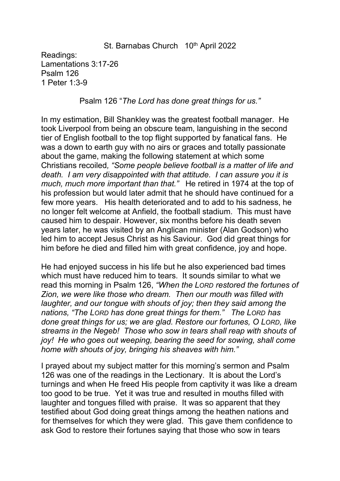### St. Barnabas Church 10<sup>th</sup> April 2022

Readings: Lamentations 3:17-26 Psalm 126 1 Peter 1:3-9

#### Psalm 126 "*The Lord has done great things for us."*

In my estimation, Bill Shankley was the greatest football manager. He took Liverpool from being an obscure team, languishing in the second tier of English football to the top flight supported by fanatical fans. He was a down to earth guy with no airs or graces and totally passionate about the game, making the following statement at which some Christians recoiled*, "Some people believe football is a matter oflife and death. I am very disappointed with that attitude. I can assure you it is much, much more important than that."* He retired in 1974 at the top of his profession but would later admit that he should have continued for a few more years. His health deteriorated and to add to his sadness, he no longer felt welcome at Anfield, the football stadium. This must have caused him to despair. However, six months before his death seven years later, he was visited by an Anglican minister (Alan Godson) who led him to accept Jesus Christ as his Saviour. God did great things for him before he died and filled him with great confidence, joy and hope.

He had enjoyed success in his life but he also experienced bad times which must have reduced him to tears. It sounds similar to what we read this morning in Psalm 126,*"When the LORD restored the fortunes of Zion, we were like those who dream. Then our mouth was filled with laughter, and our tongue with shouts of joy; then they said among the nations, "The LORD has done great things for them." The LORD has done great things for us; we are glad. Restore our fortunes, O LORD, like streams in the Negeb! Those who sow in tears shall reap with shouts of joy! He who goes out weeping, bearing the seed for sowing, shall come home with shouts of joy, bringing his sheaves with him."*

I prayed about my subject matter for this morning's sermon and Psalm 126 was one of the readings in the Lectionary. It is about the Lord's turnings and when He freed His people from captivity it was like a dream too good to be true. Yet it was true and resulted in mouths filled with laughter and tongues filled with praise. It was so apparent that they testified about God doing great things among the heathen nations and for themselves for which they were glad. This gave them confidence to ask God to restore their fortunes saying that those who sow in tears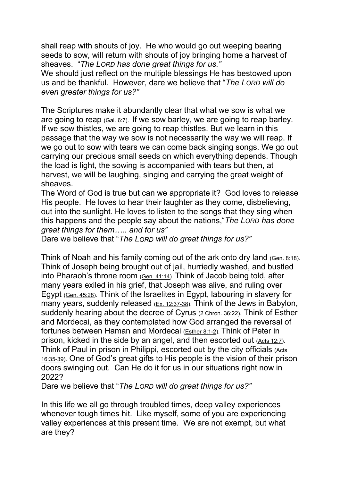shall reap with shouts of joy. He who would go out weeping bearing seeds to sow, will return with shouts of joy bringing home a harvest of sheaves. "*The LORD has done great things for us."*

We should just reflect on the multiple blessings He has bestowed upon us and be thankful. However, dare we believe that "*The LORD will do even greater things for us?"*

The Scriptures make it abundantly clear that what we sow is what we are going to reap  $(GaI. 6:7)$ . If we sow barley, we are going to reap barley. If we sow thistles, we are going to reap thistles. But we learn in this passage that the way we sow is not necessarily the way we will reap. If we go out to sow with tears we can come back singing songs. We go out carrying our precious small seeds on which everything depends. Though the load is light, the sowing is accompanied with tears but then, at harvest, we will be laughing, singing and carrying the great weight of sheaves.

The Word of God is true but can we appropriate it? God loves to release His people. He loves to hear their laughter as they come, disbelieving, out into the sunlight. He loves to listen to the songs that they sing when this happens and the people say about the nations,"*The LORD has done great things for them….. and for us"*

Dare we believe that "*The LORD will do great things for us?"*

Think of Noah and his family coming out of the ark onto dry land ([Gen.](https://www.blueletterbible.org/search/preSearch.cfm?Criteria=Gen.+8.18&t=NKJV) 8:18). Think of Joseph being brought out of jail, hurriedly washed, and bustled into Pharaoh's throne room (Gen. [41:14\)](https://www.blueletterbible.org/search/preSearch.cfm?Criteria=Gen.+41.14&t=NKJV). Think of Jacob being told, after many years exiled in his grief, that Joseph was alive, and ruling over Egypt (Gen. [45:28](https://www.blueletterbible.org/search/preSearch.cfm?Criteria=Gen.+45.28&t=NKJV)). Think of the Israelites in Egypt, labouring in slavery for many years, suddenly released (Ex. [12:37-38\)](https://www.blueletterbible.org/search/preSearch.cfm?Criteria=Ex.+12.37-38&t=NKJV). Think of the Jews in Babylon, suddenly hearing about the decree of Cyrus (2 [Chron.](https://www.blueletterbible.org/search/preSearch.cfm?Criteria=2Chron.+36.22&t=NKJV) 36:22). Think of Esther and Mordecai, as they contemplated how God arranged the reversal of fortunes between Haman and Mordecai [\(Esther](https://www.blueletterbible.org/search/preSearch.cfm?Criteria=Est.+8.1-2&t=NKJV) 8:1-2). Think of Peter in prison, kicked in the side by an angel, and then escorted out (Acts [12:7\)](https://www.blueletterbible.org/search/preSearch.cfm?Criteria=Acts+12.7ff&t=NKJV). Think of Paul in prison in Philippi, escorted out by the city officials ([Acts](https://www.blueletterbible.org/search/preSearch.cfm?Criteria=Acts+16.35-39&t=NKJV) 16:35-39). One of God's great gifts to His people is the vision of their prison doors swinging out. Can He do it for us in our situations right now in 2022?

Dare we believe that "*The LORD will do great things for us?"*

In this life we all go through troubled times, deep valley experiences whenever tough times hit. Like myself, some of you are experiencing valley experiences at this present time. We are not exempt, but what are they?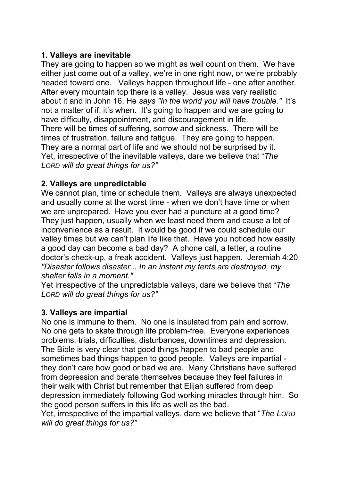# **1. Valleys are inevitable**

They are going to happen so we might as well count on them. We have either just come out of a valley, we're in one right now, or we're probably headed toward one. Valleys happen throughout life - one after another. After every mountain top there is a valley. Jesus was very realistic about it and in John 16, He *says "In the world you will have trouble."* It's not a matter of if, it's when. It's going to happen and we are going to have difficulty, disappointment, and discouragement in life. There will be times of suffering, sorrow and sickness. There will be times of frustration, failure and fatigue. They are going to happen. They are a normal part of life and we should not be surprised by it. Yet, irrespective of the inevitable valleys, dare we believe that "*The LORD will do greatthings for us?"*

# **2. Valleys are unpredictable**

We cannot plan, time or schedule them. Valleys are always unexpected and usually come at the worst time - when we don't have time or when we are unprepared. Have you ever had a puncture at a good time? They just happen, usually when we least need them and cause a lot of inconvenience as a result. It would be good if we could schedule our valley times but we can't plan life like that. Have you noticed how easily a good day can become a bad day? A phone call, a letter, a routine doctor's check-up, a freak accident. Valleys just happen. Jeremiah 4:20 *"Disaster follows disaster... In an instant my tents are destroyed, my shelter falls in a moment."*

Yet irrespective of the unpredictable valleys, dare we believe that "*The LORD* will do great things for  $us?"$ 

### **3. Valleys are impartial**

No one is immune to them. No one is insulated from pain and sorrow. No one gets to skate through life problem-free. Everyone experiences problems, trials, difficulties, disturbances, downtimes and depression. The Bible is very clear that good things happen to bad people and sometimes bad things happen to good people. Valleys are impartial they don't care how good or bad we are. Many Christians have suffered from depression and berate themselves because they feel failures in their walk with Christ but remember that Elijah suffered from deep depression immediately following God working miracles through him. So the good person suffers in this life as well as the bad.

Yet, irrespective of the impartial valleys, dare we believe that "*The LORD will do great things for us?"*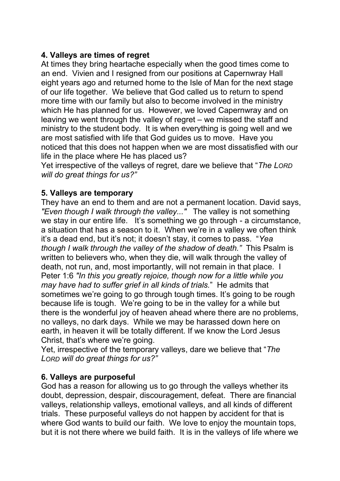# **4. Valleys are times of regret**

At times they bring heartache especially when the good times come to an end. Vivien and I resigned from our positions at Capernwray Hall eight years ago and returned home to the Isle of Man for the next stage of our life together. We believe that God called us to return to spend more time with our family but also to become involved in the ministry which He has planned for us. However, we loved Capernwray and on leaving we went through the valley of regret – we missed the staff and ministry to the student body. It is when everything is going well and we are most satisfied with life that God guides us to move. Have you noticed that this does not happen when we are most dissatisfied with our life in the place where He has placed us?

Yet irrespective of the valleys of regret, dare we believe that "*The LORD will do great things for us?"*

# **5. Valleys are temporary**

They have an end to them and are not a permanent location. David says, *"Even though I walk through the valley..."* The valley is not something we stay in our entire life. It's something we go through - a circumstance, a situation that has a season to it. When we're in a valley we often think it's a dead end, but it's not; it doesn't stay, it comes to pass. "*Yea though I walk through the valley of the shadow of death."* This Psalm is written to believers who, when they die, will walk through the valley of death, not run, and, most importantly, will not remain in that place. I Peter 1:6 *"In this you greatly rejoice, though now for a little while you may have had to suffer grief in all kinds of trials.*" He admits that sometimes we're going to go through tough times. It's going to be rough because life is tough. We're going to be in the valley for a while but there is the wonderful joy of heaven ahead where there are no problems, no valleys, no dark days. While we may be harassed down here on earth, in heaven it will be totally different. If we know the Lord Jesus Christ, that's where we're going.

Yet, irrespective of the temporary valleys, dare we believe that "*The LORD will do greatthings for us?"*

### **6. Valleys are purposeful**

God has a reason for allowing us to go through the valleys whether its doubt, depression, despair, discouragement, defeat. There are financial valleys, relationship valleys, emotional valleys, and all kinds of different trials. These purposeful valleys do not happen by accident for that is where God wants to build our faith. We love to enjoy the mountain tops, but it is not there where we build faith. It is in the valleys of life where we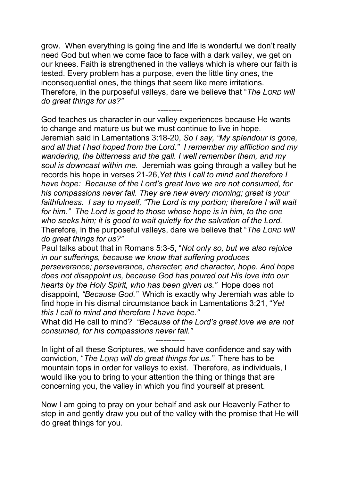grow. When everything is going fine and life is wonderful we don't really need God but when we come face to face with a dark valley, we get on our knees. Faith is strengthened in the valleys which is where our faith is tested. Every problem has a purpose, even the little tiny ones, the inconsequential ones, the things that seem like mere irritations. Therefore, in the purposeful valleys, dare we believe that "*The LORD will do great things for us?"*

--------- God teaches us character in our valley experiences because He wants to change and mature us but we must continue to live in hope. Jeremiah said in Lamentations 3:18-20, *So I say, "My splendour is gone, and all that I had hoped from the Lord." I remember my affliction and my wandering, the bitterness and the gall. I wellremember them, and my soul is downcast within me.* Jeremiah was going through a valley buthe records his hope in verses 21-26,*Yet this I call to mind and therefore I have hope: Because of the Lord's great love we are not consumed, for his compassions never fail. They are new every morning; great is your faithfulness. I say to myself, "The Lord is my portion; therefore I will wait for him." The Lord is good to those whose hope is in him, to the one who seeks him; it is good to wait quietly for the salvation ofthe Lord.* Therefore, in the purposeful valleys, dare we believe that "*The LORD will do great things for us?"*

Paul talks about that in Romans 5:3-5, "*Not only so, but we also rejoice in our sufferings, because we know that suffering produces perseverance; perseverance, character; and character, hope. And hope does not disappoint us, because God has poured out His love into our hearts by the Holy Spirit, who has been given us."* Hope does not disappoint, *"Because God."* Which is exactly why Jeremiah was able to find hope in his dismal circumstance back in Lamentations 3:21, "*Yet this I call to mind and therefore I have hope."*

What did He call to mind? *"Because of the Lord's great love we are not consumed, for his compassions never fail."*

*-----------*

In light of all these Scriptures, we should have confidence and say with conviction, "*The LORD will do greatthings for us."* There has to be mountain tops in order for valleys to exist. Therefore, as individuals, I would like you to bring to your attention the thing or things that are concerning you, the valley in which you find yourself at present.

Now I am going to pray on your behalf and ask our Heavenly Father to step in and gently draw you out of the valley with the promise that He will do great things for you.